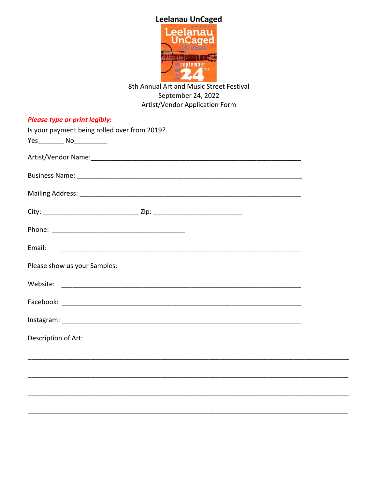

## 8th Annual Art and Music Street Festival September 24, 2022 Artist/Vendor Application Form

| <b>Please type or print legibly:</b>         |  |
|----------------------------------------------|--|
| Is your payment being rolled over from 2019? |  |
|                                              |  |
|                                              |  |
|                                              |  |
|                                              |  |
|                                              |  |
|                                              |  |
| Email:                                       |  |
| Please show us your Samples:                 |  |
|                                              |  |
|                                              |  |
|                                              |  |
| Description of Art:                          |  |
|                                              |  |
|                                              |  |
|                                              |  |
|                                              |  |